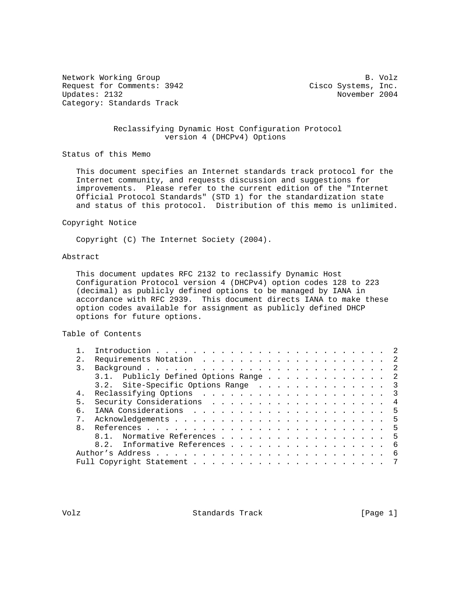Network Working Group B. Volz Request for Comments: 3942 Cisco Systems, Inc.<br>Updates: 2132 Movember 2004 Category: Standards Track

November 2004

## Reclassifying Dynamic Host Configuration Protocol version 4 (DHCPv4) Options

Status of this Memo

 This document specifies an Internet standards track protocol for the Internet community, and requests discussion and suggestions for improvements. Please refer to the current edition of the "Internet Official Protocol Standards" (STD 1) for the standardization state and status of this protocol. Distribution of this memo is unlimited.

## Copyright Notice

Copyright (C) The Internet Society (2004).

## Abstract

 This document updates RFC 2132 to reclassify Dynamic Host Configuration Protocol version 4 (DHCPv4) option codes 128 to 223 (decimal) as publicly defined options to be managed by IANA in accordance with RFC 2939. This document directs IANA to make these option codes available for assignment as publicly defined DHCP options for future options.

Table of Contents

| 2.           |                                       |  |
|--------------|---------------------------------------|--|
| 3.           |                                       |  |
|              | 3.1. Publicly Defined Options Range 2 |  |
|              | 3.2. Site-Specific Options Range 3    |  |
| 4.           |                                       |  |
| 5.           | Security Considerations 4             |  |
| б.           |                                       |  |
| $7$ .        |                                       |  |
| $\mathsf{R}$ |                                       |  |
|              | 8.1. Normative References 5           |  |
|              | 8.2. Informative References 6         |  |
|              | - 6                                   |  |
|              |                                       |  |

Volz **Standards Track** [Page 1]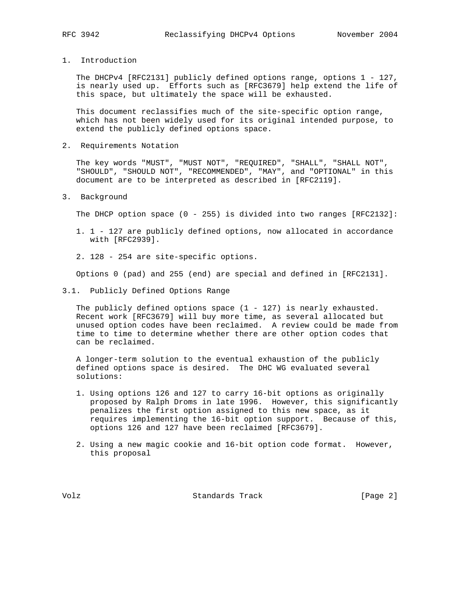- 
- 1. Introduction

 The DHCPv4 [RFC2131] publicly defined options range, options 1 - 127, is nearly used up. Efforts such as [RFC3679] help extend the life of this space, but ultimately the space will be exhausted.

 This document reclassifies much of the site-specific option range, which has not been widely used for its original intended purpose, to extend the publicly defined options space.

2. Requirements Notation

 The key words "MUST", "MUST NOT", "REQUIRED", "SHALL", "SHALL NOT", "SHOULD", "SHOULD NOT", "RECOMMENDED", "MAY", and "OPTIONAL" in this document are to be interpreted as described in [RFC2119].

3. Background

The DHCP option space (0 - 255) is divided into two ranges [RFC2132]:

- 1. 1 127 are publicly defined options, now allocated in accordance with [RFC2939].
- 2. 128 254 are site-specific options.

Options 0 (pad) and 255 (end) are special and defined in [RFC2131].

3.1. Publicly Defined Options Range

The publicly defined options space  $(1 - 127)$  is nearly exhausted. Recent work [RFC3679] will buy more time, as several allocated but unused option codes have been reclaimed. A review could be made from time to time to determine whether there are other option codes that can be reclaimed.

 A longer-term solution to the eventual exhaustion of the publicly defined options space is desired. The DHC WG evaluated several solutions:

- 1. Using options 126 and 127 to carry 16-bit options as originally proposed by Ralph Droms in late 1996. However, this significantly penalizes the first option assigned to this new space, as it requires implementing the 16-bit option support. Because of this, options 126 and 127 have been reclaimed [RFC3679].
- 2. Using a new magic cookie and 16-bit option code format. However, this proposal

Volz **Standards Track** [Page 2]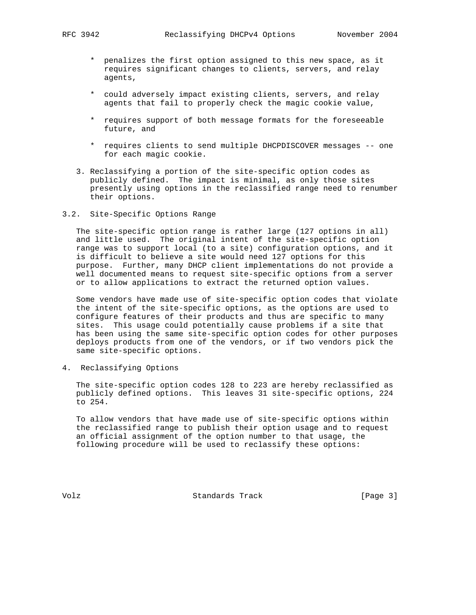- \* penalizes the first option assigned to this new space, as it requires significant changes to clients, servers, and relay agents,
- \* could adversely impact existing clients, servers, and relay agents that fail to properly check the magic cookie value,
- \* requires support of both message formats for the foreseeable future, and
- \* requires clients to send multiple DHCPDISCOVER messages -- one for each magic cookie.
- 3. Reclassifying a portion of the site-specific option codes as publicly defined. The impact is minimal, as only those sites presently using options in the reclassified range need to renumber their options.
- 3.2. Site-Specific Options Range

 The site-specific option range is rather large (127 options in all) and little used. The original intent of the site-specific option range was to support local (to a site) configuration options, and it is difficult to believe a site would need 127 options for this purpose. Further, many DHCP client implementations do not provide a well documented means to request site-specific options from a server or to allow applications to extract the returned option values.

 Some vendors have made use of site-specific option codes that violate the intent of the site-specific options, as the options are used to configure features of their products and thus are specific to many sites. This usage could potentially cause problems if a site that has been using the same site-specific option codes for other purposes deploys products from one of the vendors, or if two vendors pick the same site-specific options.

4. Reclassifying Options

 The site-specific option codes 128 to 223 are hereby reclassified as publicly defined options. This leaves 31 site-specific options, 224 to 254.

 To allow vendors that have made use of site-specific options within the reclassified range to publish their option usage and to request an official assignment of the option number to that usage, the following procedure will be used to reclassify these options:

Volz **Standards Track** [Page 3]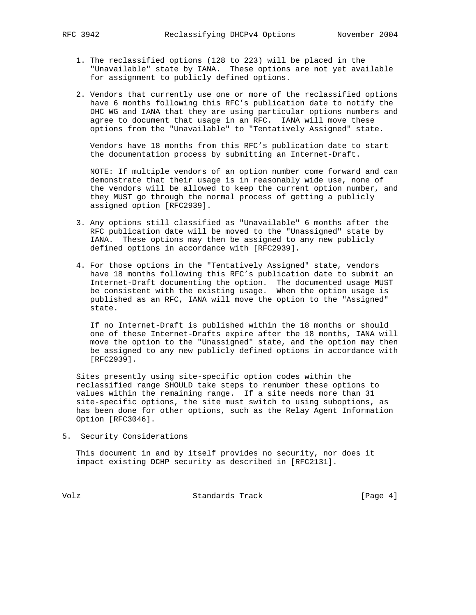- 1. The reclassified options (128 to 223) will be placed in the "Unavailable" state by IANA. These options are not yet available for assignment to publicly defined options.
- 2. Vendors that currently use one or more of the reclassified options have 6 months following this RFC's publication date to notify the DHC WG and IANA that they are using particular options numbers and agree to document that usage in an RFC. IANA will move these options from the "Unavailable" to "Tentatively Assigned" state.

 Vendors have 18 months from this RFC's publication date to start the documentation process by submitting an Internet-Draft.

 NOTE: If multiple vendors of an option number come forward and can demonstrate that their usage is in reasonably wide use, none of the vendors will be allowed to keep the current option number, and they MUST go through the normal process of getting a publicly assigned option [RFC2939].

- 3. Any options still classified as "Unavailable" 6 months after the RFC publication date will be moved to the "Unassigned" state by IANA. These options may then be assigned to any new publicly defined options in accordance with [RFC2939].
- 4. For those options in the "Tentatively Assigned" state, vendors have 18 months following this RFC's publication date to submit an Internet-Draft documenting the option. The documented usage MUST be consistent with the existing usage. When the option usage is published as an RFC, IANA will move the option to the "Assigned" state.

 If no Internet-Draft is published within the 18 months or should one of these Internet-Drafts expire after the 18 months, IANA will move the option to the "Unassigned" state, and the option may then be assigned to any new publicly defined options in accordance with [RFC2939].

 Sites presently using site-specific option codes within the reclassified range SHOULD take steps to renumber these options to values within the remaining range. If a site needs more than 31 site-specific options, the site must switch to using suboptions, as has been done for other options, such as the Relay Agent Information Option [RFC3046].

5. Security Considerations

 This document in and by itself provides no security, nor does it impact existing DCHP security as described in [RFC2131].

Volz Standards Track [Page 4]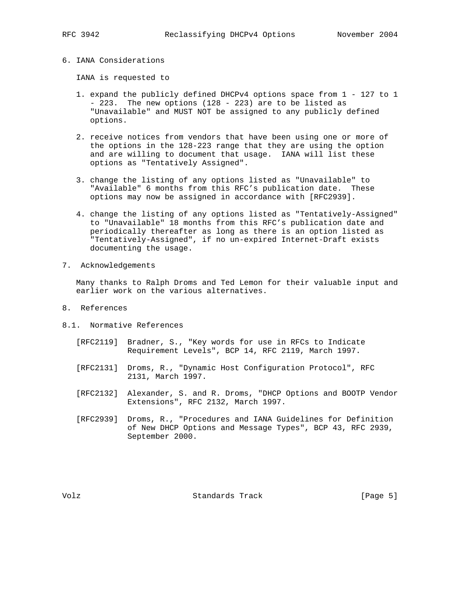## 6. IANA Considerations

IANA is requested to

- 1. expand the publicly defined DHCPv4 options space from 1 127 to 1 - 223. The new options (128 - 223) are to be listed as "Unavailable" and MUST NOT be assigned to any publicly defined options.
- 2. receive notices from vendors that have been using one or more of the options in the 128-223 range that they are using the option and are willing to document that usage. IANA will list these options as "Tentatively Assigned".
- 3. change the listing of any options listed as "Unavailable" to "Available" 6 months from this RFC's publication date. These options may now be assigned in accordance with [RFC2939].
- 4. change the listing of any options listed as "Tentatively-Assigned" to "Unavailable" 18 months from this RFC's publication date and periodically thereafter as long as there is an option listed as "Tentatively-Assigned", if no un-expired Internet-Draft exists documenting the usage.
- 7. Acknowledgements

 Many thanks to Ralph Droms and Ted Lemon for their valuable input and earlier work on the various alternatives.

- 8. References
- 8.1. Normative References
	- [RFC2119] Bradner, S., "Key words for use in RFCs to Indicate Requirement Levels", BCP 14, RFC 2119, March 1997.
	- [RFC2131] Droms, R., "Dynamic Host Configuration Protocol", RFC 2131, March 1997.
	- [RFC2132] Alexander, S. and R. Droms, "DHCP Options and BOOTP Vendor Extensions", RFC 2132, March 1997.
	- [RFC2939] Droms, R., "Procedures and IANA Guidelines for Definition of New DHCP Options and Message Types", BCP 43, RFC 2939, September 2000.

Volz Standards Track [Page 5]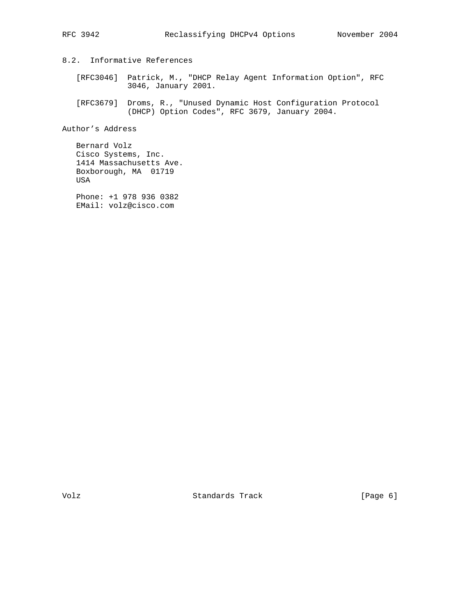8.2. Informative References

 [RFC3046] Patrick, M., "DHCP Relay Agent Information Option", RFC 3046, January 2001.

 [RFC3679] Droms, R., "Unused Dynamic Host Configuration Protocol (DHCP) Option Codes", RFC 3679, January 2004.

Author's Address

 Bernard Volz Cisco Systems, Inc. 1414 Massachusetts Ave. Boxborough, MA 01719 USA

 Phone: +1 978 936 0382 EMail: volz@cisco.com

Volz Standards Track [Page 6]